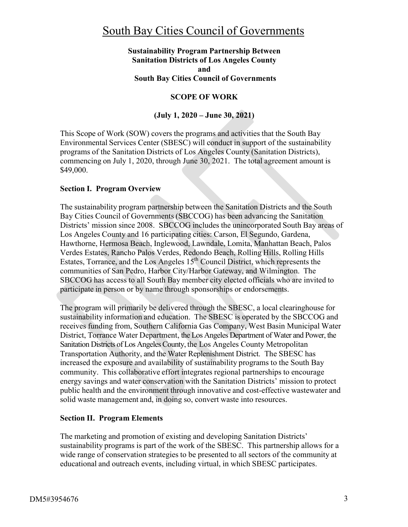### **Sustainability Program Partnership Between Sanitation Districts of Los Angeles County and South Bay Cities Council of Governments**

# **SCOPE OF WORK**

# **(July 1, 2020 – June 30, 2021)**

This Scope of Work (SOW) covers the programs and activities that the South Bay Environmental Services Center (SBESC) will conduct in support of the sustainability programs of the Sanitation Districts of Los Angeles County (Sanitation Districts), commencing on July 1, 2020, through June 30, 2021. The total agreement amount is \$49,000.

### **Section I. Program Overview**

The sustainability program partnership between the Sanitation Districts and the South Bay Cities Council of Governments (SBCCOG) has been advancing the Sanitation Districts' mission since 2008. SBCCOG includes the unincorporated South Bay areas of Los Angeles County and 16 participating cities: Carson, El Segundo, Gardena, Hawthorne, Hermosa Beach, Inglewood, Lawndale, Lomita, Manhattan Beach, Palos Verdes Estates, Rancho Palos Verdes, Redondo Beach, Rolling Hills, Rolling Hills Estates, Torrance, and the Los Angeles  $15<sup>th</sup>$  Council District, which represents the communities of San Pedro, Harbor City/Harbor Gateway, and Wilmington. The SBCCOG has access to all South Bay member city elected officials who are invited to participate in person or by name through sponsorships or endorsements.

The program will primarily be delivered through the SBESC, a local clearinghouse for sustainability information and education. The SBESC is operated by the SBCCOG and receives funding from, Southern California Gas Company, West Basin Municipal Water District, Torrance Water Department, the Los Angeles Department of Water and Power, the Sanitation Districts of Los Angeles County, the Los Angeles County Metropolitan Transportation Authority, and the Water Replenishment District. The SBESC has increased the exposure and availability of sustainability programs to the South Bay community. This collaborative effort integrates regional partnerships to encourage energy savings and water conservation with the Sanitation Districts' mission to protect public health and the environment through innovative and cost-effective wastewater and solid waste management and, in doing so, convert waste into resources.

## **Section II. Program Elements**

The marketing and promotion of existing and developing Sanitation Districts' sustainability programs is part of the work of the SBESC. This partnership allows for a wide range of conservation strategies to be presented to all sectors of the community at educational and outreach events, including virtual, in which SBESC participates.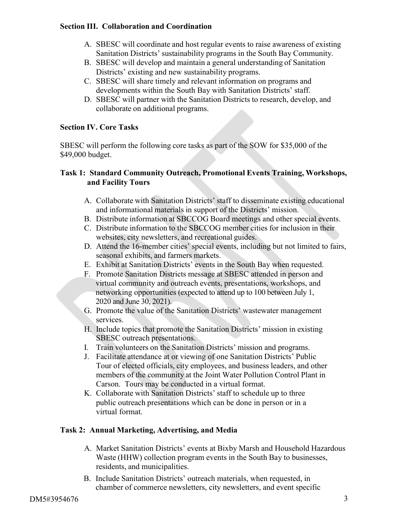#### **Section III. Collaboration and Coordination**

- A. SBESC will coordinate and host regular events to raise awareness of existing Sanitation Districts' sustainability programs in the South Bay Community.
- B. SBESC will develop and maintain a general understanding of Sanitation Districts' existing and new sustainability programs.
- C. SBESC will share timely and relevant information on programs and developments within the South Bay with Sanitation Districts' staff.
- D. SBESC will partner with the Sanitation Districts to research, develop, and collaborate on additional programs.

### **Section IV. Core Tasks**

SBESC will perform the following core tasks as part of the SOW for \$35,000 of the \$49,000 budget.

### **Task 1: Standard Community Outreach, Promotional Events Training, Workshops, and Facility Tours**

- A. Collaborate with Sanitation Districts' staff to disseminate existing educational and informational materials in support of the Districts' mission.
- B. Distribute information at SBCCOG Board meetings and other special events.
- C. Distribute information to the SBCCOG member cities for inclusion in their websites, city newsletters, and recreational guides.
- D. Attend the 16-member cities' special events, including but not limited to fairs, seasonal exhibits, and farmers markets.
- E. Exhibit at Sanitation Districts' events in the South Bay when requested.
- F. Promote Sanitation Districts message at SBESC attended in person and virtual community and outreach events, presentations, workshops, and networking opportunities (expected to attend up to 100 between July 1, 2020 and June 30, 2021).
- G. Promote the value of the Sanitation Districts' wastewater management services.
- H. Include topics that promote the Sanitation Districts' mission in existing SBESC outreach presentations.
- I. Train volunteers on the Sanitation Districts' mission and programs.
- J. Facilitate attendance at or viewing of one Sanitation Districts' Public Tour of elected officials, city employees, and business leaders, and other members of the community at the Joint Water Pollution Control Plant in Carson. Tours may be conducted in a virtual format.
- K. Collaborate with Sanitation Districts' staff to schedule up to three public outreach presentations which can be done in person or in a virtual format.

## **Task 2: Annual Marketing, Advertising, and Media**

- A. Market Sanitation Districts' events at Bixby Marsh and Household Hazardous Waste (HHW) collection program events in the South Bay to businesses, residents, and municipalities.
- B. Include Sanitation Districts' outreach materials, when requested, in chamber of commerce newsletters, city newsletters, and event specific